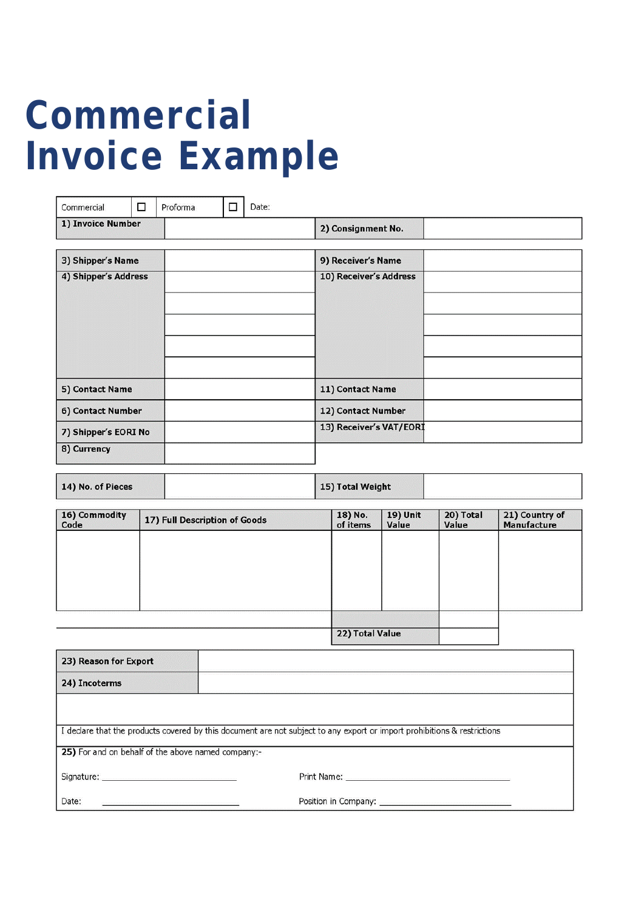## **Commercial Invoice Example**

| Commercial           | □ | Proforma | Date:<br>□         |                         |
|----------------------|---|----------|--------------------|-------------------------|
| 1) Invoice Number    |   |          | 2) Consignment No. |                         |
| 3) Shipper's Name    |   |          |                    | 9) Receiver's Name      |
| 4) Shipper's Address |   |          |                    | 10) Receiver's Address  |
| 5) Contact Name      |   |          |                    | 11) Contact Name        |
| 6) Contact Number    |   |          |                    | 12) Contact Number      |
| 7) Shipper's EORI No |   |          |                    | 13) Receiver's VAT/EORI |
| 8) Currency          |   |          |                    |                         |

| 14) No. of Pieces |  | 15) Total Weight |  |
|-------------------|--|------------------|--|
|-------------------|--|------------------|--|

| 16) Commodity<br>Code | 17) Full Description of Goods | 18) No.<br>of items | <b>19) Unit</b><br>Value | 20) Total<br>Value | 21) Country of<br>Manufacture |
|-----------------------|-------------------------------|---------------------|--------------------------|--------------------|-------------------------------|
|                       |                               |                     |                          |                    |                               |
|                       |                               |                     |                          |                    |                               |
|                       |                               |                     |                          |                    |                               |
|                       |                               |                     |                          |                    |                               |
|                       |                               |                     |                          |                    |                               |
|                       |                               | 22) Total Value     |                          |                    |                               |

| 23) Reason for Export                              |                                                                                                                                                                                                                                |  |
|----------------------------------------------------|--------------------------------------------------------------------------------------------------------------------------------------------------------------------------------------------------------------------------------|--|
| 24) Incoterms                                      |                                                                                                                                                                                                                                |  |
|                                                    |                                                                                                                                                                                                                                |  |
|                                                    | I declare that the products covered by this document are not subject to any export or import prohibitions & restrictions                                                                                                       |  |
| 25) For and on behalf of the above named company:- |                                                                                                                                                                                                                                |  |
|                                                    | Print Name: William Strauber and Williams and Williams and Williams and Williams and Williams and Williams and Williams and Williams and Williams and Williams and Williams and Williams and Williams and Williams and William |  |
| Date:                                              | Position in Company: _____________________                                                                                                                                                                                     |  |